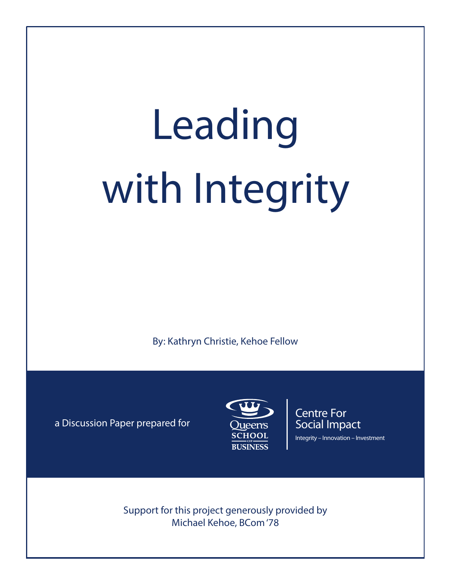# Leading with Integrity

By: Kathryn Christie, Kehoe Fellow

a Discussion Paper prepared for



Centre For Social Impact Integrity – Innovation – Investment

Support for this project generously provided by Michael Kehoe, BCom '78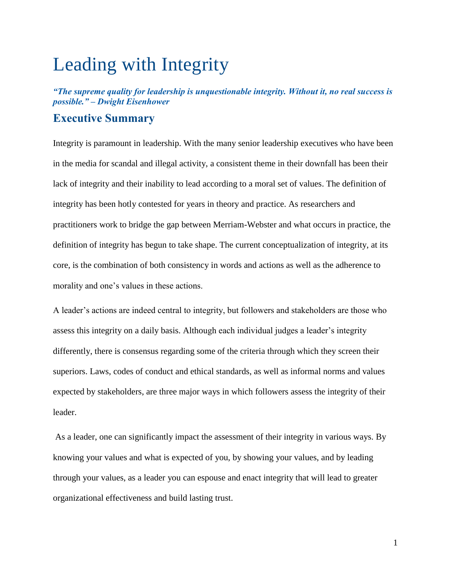# Leading with Integrity

*"The supreme quality for leadership is unquestionable integrity. Without it, no real success is possible." – Dwight Eisenhower*

# **Executive Summary**

Integrity is paramount in leadership. With the many senior leadership executives who have been in the media for scandal and illegal activity, a consistent theme in their downfall has been their lack of integrity and their inability to lead according to a moral set of values. The definition of integrity has been hotly contested for years in theory and practice. As researchers and practitioners work to bridge the gap between Merriam-Webster and what occurs in practice, the definition of integrity has begun to take shape. The current conceptualization of integrity, at its core, is the combination of both consistency in words and actions as well as the adherence to morality and one's values in these actions.

A leader's actions are indeed central to integrity, but followers and stakeholders are those who assess this integrity on a daily basis. Although each individual judges a leader's integrity differently, there is consensus regarding some of the criteria through which they screen their superiors. Laws, codes of conduct and ethical standards, as well as informal norms and values expected by stakeholders, are three major ways in which followers assess the integrity of their leader.

As a leader, one can significantly impact the assessment of their integrity in various ways. By knowing your values and what is expected of you, by showing your values, and by leading through your values, as a leader you can espouse and enact integrity that will lead to greater organizational effectiveness and build lasting trust.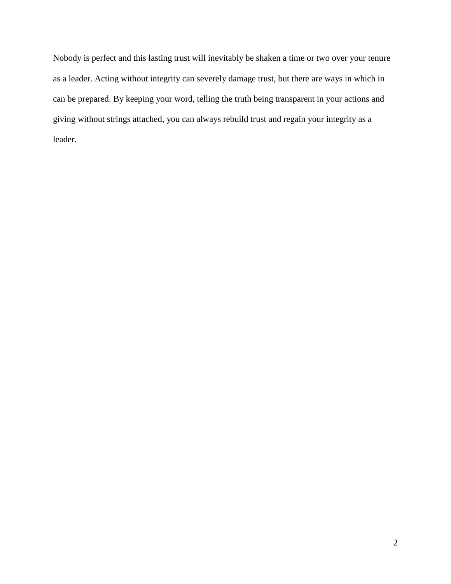Nobody is perfect and this lasting trust will inevitably be shaken a time or two over your tenure as a leader. Acting without integrity can severely damage trust, but there are ways in which in can be prepared. By keeping your word, telling the truth being transparent in your actions and giving without strings attached, you can always rebuild trust and regain your integrity as a leader.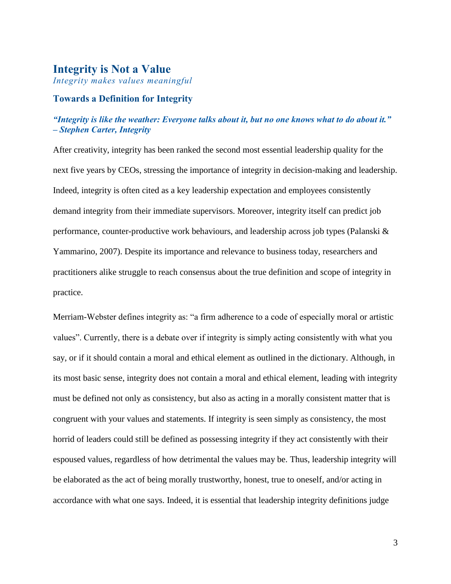#### **Integrity is Not a Value**

*Integrity makes values meaningful*

#### **Towards a Definition for Integrity**

#### *"Integrity is like the weather: Everyone talks about it, but no one knows what to do about it." – Stephen Carter, Integrity*

After creativity, integrity has been ranked the second most essential leadership quality for the next five years by CEOs, stressing the importance of integrity in decision-making and leadership. Indeed, integrity is often cited as a key leadership expectation and employees consistently demand integrity from their immediate supervisors. Moreover, integrity itself can predict job performance, counter-productive work behaviours, and leadership across job types (Palanski & Yammarino, 2007). Despite its importance and relevance to business today, researchers and practitioners alike struggle to reach consensus about the true definition and scope of integrity in practice.

Merriam-Webster defines integrity as: "a firm adherence to a code of especially moral or artistic values". Currently, there is a debate over if integrity is simply acting consistently with what you say, or if it should contain a moral and ethical element as outlined in the dictionary. Although, in its most basic sense, integrity does not contain a moral and ethical element, leading with integrity must be defined not only as consistency, but also as acting in a morally consistent matter that is congruent with your values and statements. If integrity is seen simply as consistency, the most horrid of leaders could still be defined as possessing integrity if they act consistently with their espoused values, regardless of how detrimental the values may be. Thus, leadership integrity will be elaborated as the act of being morally trustworthy, honest, true to oneself, and/or acting in accordance with what one says. Indeed, it is essential that leadership integrity definitions judge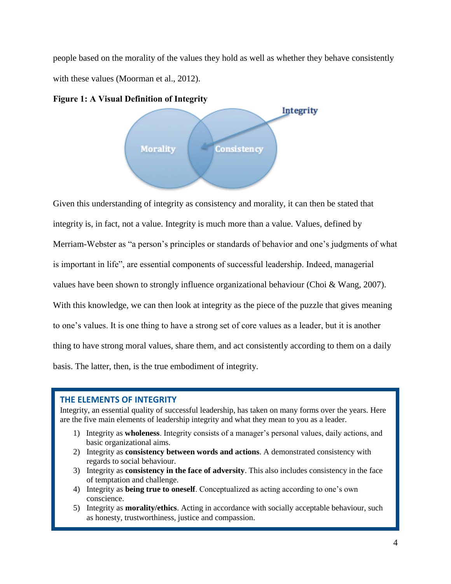people based on the morality of the values they hold as well as whether they behave consistently with these values (Moorman et al., 2012).





Given this understanding of integrity as consistency and morality, it can then be stated that integrity is, in fact, not a value. Integrity is much more than a value. Values, defined by Merriam-Webster as "a person's principles or standards of behavior and one's judgments of what is important in life", are essential components of successful leadership. Indeed, managerial values have been shown to strongly influence organizational behaviour (Choi & Wang, 2007). With this knowledge, we can then look at integrity as the piece of the puzzle that gives meaning to one's values. It is one thing to have a strong set of core values as a leader, but it is another thing to have strong moral values, share them, and act consistently according to them on a daily basis. The latter, then, is the true embodiment of integrity.

#### **THE ELEMENTS OF INTEGRITY**

Integrity, an essential quality of successful leadership, has taken on many forms over the years. Here are the five main elements of leadership integrity and what they mean to you as a leader.

- 1) Integrity as **wholeness**. Integrity consists of a manager's personal values, daily actions, and basic organizational aims.
- 2) Integrity as **consistency between words and actions**. A demonstrated consistency with regards to social behaviour.
- 3) Integrity as **consistency in the face of adversity**. This also includes consistency in the face of temptation and challenge.
- 4) Integrity as **being true to oneself**. Conceptualized as acting according to one's own conscience.
- 5) Integrity as **morality/ethics**. Acting in accordance with socially acceptable behaviour, such as honesty, trustworthiness, justice and compassion.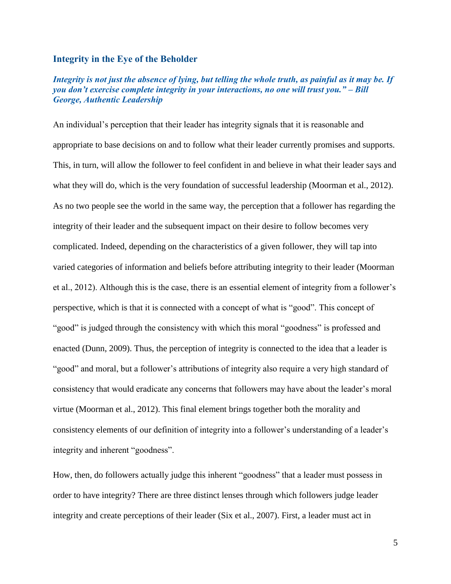#### **Integrity in the Eye of the Beholder**

#### *Integrity is not just the absence of lying, but telling the whole truth, as painful as it may be. If you don't exercise complete integrity in your interactions, no one will trust you." – Bill George, Authentic Leadership*

An individual's perception that their leader has integrity signals that it is reasonable and appropriate to base decisions on and to follow what their leader currently promises and supports. This, in turn, will allow the follower to feel confident in and believe in what their leader says and what they will do, which is the very foundation of successful leadership (Moorman et al., 2012). As no two people see the world in the same way, the perception that a follower has regarding the integrity of their leader and the subsequent impact on their desire to follow becomes very complicated. Indeed, depending on the characteristics of a given follower, they will tap into varied categories of information and beliefs before attributing integrity to their leader (Moorman et al., 2012). Although this is the case, there is an essential element of integrity from a follower's perspective, which is that it is connected with a concept of what is "good". This concept of "good" is judged through the consistency with which this moral "goodness" is professed and enacted (Dunn, 2009). Thus, the perception of integrity is connected to the idea that a leader is "good" and moral, but a follower's attributions of integrity also require a very high standard of consistency that would eradicate any concerns that followers may have about the leader's moral virtue (Moorman et al., 2012). This final element brings together both the morality and consistency elements of our definition of integrity into a follower's understanding of a leader's integrity and inherent "goodness".

How, then, do followers actually judge this inherent "goodness" that a leader must possess in order to have integrity? There are three distinct lenses through which followers judge leader integrity and create perceptions of their leader (Six et al., 2007). First, a leader must act in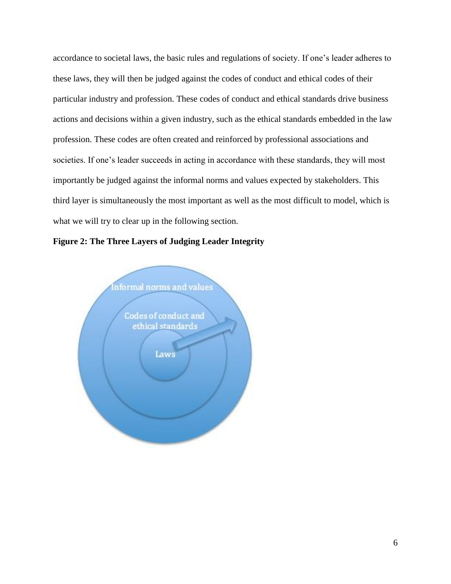accordance to societal laws, the basic rules and regulations of society. If one's leader adheres to these laws, they will then be judged against the codes of conduct and ethical codes of their particular industry and profession. These codes of conduct and ethical standards drive business actions and decisions within a given industry, such as the ethical standards embedded in the law profession. These codes are often created and reinforced by professional associations and societies. If one's leader succeeds in acting in accordance with these standards, they will most importantly be judged against the informal norms and values expected by stakeholders. This third layer is simultaneously the most important as well as the most difficult to model, which is what we will try to clear up in the following section.



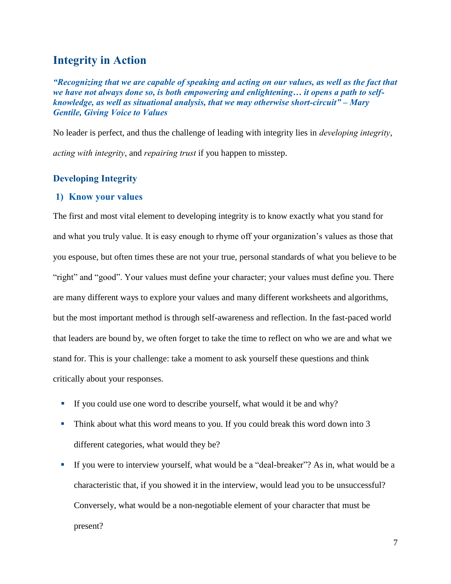# **Integrity in Action**

*"Recognizing that we are capable of speaking and acting on our values, as well as the fact that we have not always done so, is both empowering and enlightening… it opens a path to selfknowledge, as well as situational analysis, that we may otherwise short-circuit" – Mary Gentile, Giving Voice to Values*

No leader is perfect, and thus the challenge of leading with integrity lies in *developing integrity*, *acting with integrity*, and *repairing trust* if you happen to misstep.

#### **Developing Integrity**

#### **1) Know your values**

The first and most vital element to developing integrity is to know exactly what you stand for and what you truly value. It is easy enough to rhyme off your organization's values as those that you espouse, but often times these are not your true, personal standards of what you believe to be "right" and "good". Your values must define your character; your values must define you. There are many different ways to explore your values and many different worksheets and algorithms, but the most important method is through self-awareness and reflection. In the fast-paced world that leaders are bound by, we often forget to take the time to reflect on who we are and what we stand for. This is your challenge: take a moment to ask yourself these questions and think critically about your responses.

- If you could use one word to describe yourself, what would it be and why?
- Think about what this word means to you. If you could break this word down into 3 different categories, what would they be?
- If you were to interview yourself, what would be a "deal-breaker"? As in, what would be a characteristic that, if you showed it in the interview, would lead you to be unsuccessful? Conversely, what would be a non-negotiable element of your character that must be present?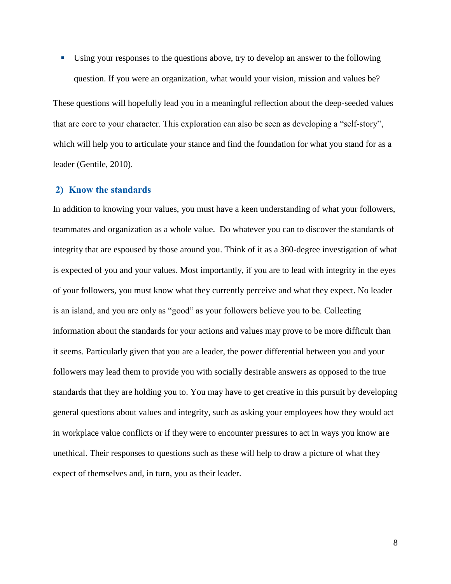Using your responses to the questions above, try to develop an answer to the following question. If you were an organization, what would your vision, mission and values be?

These questions will hopefully lead you in a meaningful reflection about the deep-seeded values that are core to your character. This exploration can also be seen as developing a "self-story", which will help you to articulate your stance and find the foundation for what you stand for as a leader (Gentile, 2010).

#### **2) Know the standards**

In addition to knowing your values, you must have a keen understanding of what your followers, teammates and organization as a whole value. Do whatever you can to discover the standards of integrity that are espoused by those around you. Think of it as a 360-degree investigation of what is expected of you and your values. Most importantly, if you are to lead with integrity in the eyes of your followers, you must know what they currently perceive and what they expect. No leader is an island, and you are only as "good" as your followers believe you to be. Collecting information about the standards for your actions and values may prove to be more difficult than it seems. Particularly given that you are a leader, the power differential between you and your followers may lead them to provide you with socially desirable answers as opposed to the true standards that they are holding you to. You may have to get creative in this pursuit by developing general questions about values and integrity, such as asking your employees how they would act in workplace value conflicts or if they were to encounter pressures to act in ways you know are unethical. Their responses to questions such as these will help to draw a picture of what they expect of themselves and, in turn, you as their leader.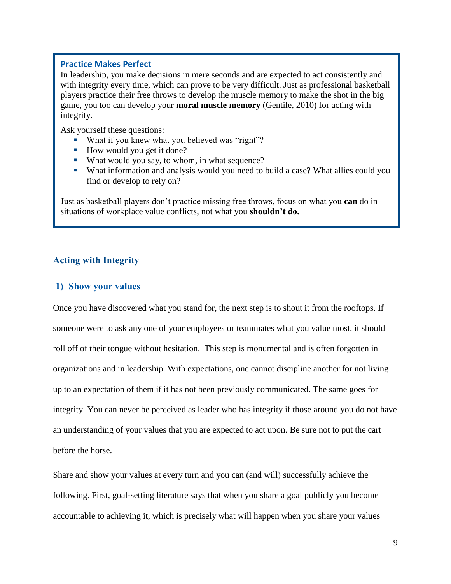#### **Practice Makes Perfect**

In leadership, you make decisions in mere seconds and are expected to act consistently and with integrity every time, which can prove to be very difficult. Just as professional basketball players practice their free throws to develop the muscle memory to make the shot in the big game, you too can develop your **moral muscle memory** (Gentile, 2010) for acting with integrity.

Ask yourself these questions:

- What if you knew what you believed was "right"?
- How would you get it done?
- What would you say, to whom, in what sequence?
- What information and analysis would you need to build a case? What allies could you find or develop to rely on?

Just as basketball players don't practice missing free throws, focus on what you **can** do in situations of workplace value conflicts, not what you **shouldn't do.**

#### **Acting with Integrity**

#### **1) Show your values**

Once you have discovered what you stand for, the next step is to shout it from the rooftops. If someone were to ask any one of your employees or teammates what you value most, it should roll off of their tongue without hesitation. This step is monumental and is often forgotten in organizations and in leadership. With expectations, one cannot discipline another for not living up to an expectation of them if it has not been previously communicated. The same goes for integrity. You can never be perceived as leader who has integrity if those around you do not have an understanding of your values that you are expected to act upon. Be sure not to put the cart before the horse.

Share and show your values at every turn and you can (and will) successfully achieve the following. First, goal-setting literature says that when you share a goal publicly you become accountable to achieving it, which is precisely what will happen when you share your values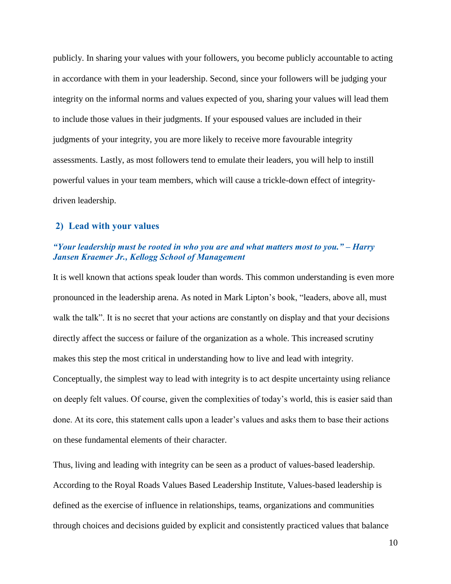publicly. In sharing your values with your followers, you become publicly accountable to acting in accordance with them in your leadership. Second, since your followers will be judging your integrity on the informal norms and values expected of you, sharing your values will lead them to include those values in their judgments. If your espoused values are included in their judgments of your integrity, you are more likely to receive more favourable integrity assessments. Lastly, as most followers tend to emulate their leaders, you will help to instill powerful values in your team members, which will cause a trickle-down effect of integritydriven leadership.

#### **2) Lead with your values**

#### *"Your leadership must be rooted in who you are and what matters most to you." – Harry Jansen Kraemer Jr., Kellogg School of Management*

It is well known that actions speak louder than words. This common understanding is even more pronounced in the leadership arena. As noted in Mark Lipton's book, "leaders, above all, must walk the talk". It is no secret that your actions are constantly on display and that your decisions directly affect the success or failure of the organization as a whole. This increased scrutiny makes this step the most critical in understanding how to live and lead with integrity. Conceptually, the simplest way to lead with integrity is to act despite uncertainty using reliance on deeply felt values. Of course, given the complexities of today's world, this is easier said than done. At its core, this statement calls upon a leader's values and asks them to base their actions on these fundamental elements of their character.

Thus, living and leading with integrity can be seen as a product of values-based leadership. According to the Royal Roads Values Based Leadership Institute, Values-based leadership is defined as the exercise of influence in relationships, teams, organizations and communities through choices and decisions guided by explicit and consistently practiced values that balance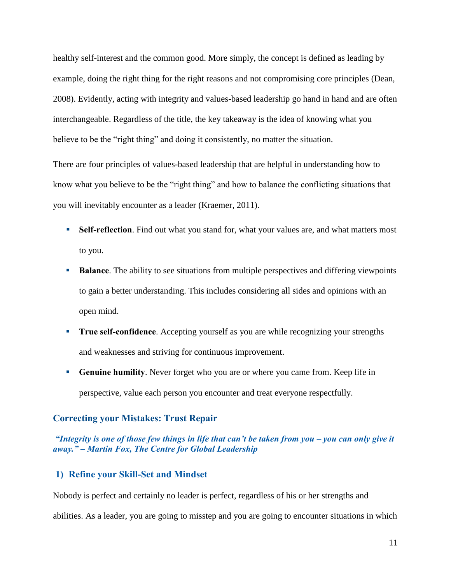healthy self-interest and the common good. More simply, the concept is defined as leading by example, doing the right thing for the right reasons and not compromising core principles (Dean, 2008). Evidently, acting with integrity and values-based leadership go hand in hand and are often interchangeable. Regardless of the title, the key takeaway is the idea of knowing what you believe to be the "right thing" and doing it consistently, no matter the situation.

There are four principles of values-based leadership that are helpful in understanding how to know what you believe to be the "right thing" and how to balance the conflicting situations that you will inevitably encounter as a leader (Kraemer, 2011).

- **Self-reflection**. Find out what you stand for, what your values are, and what matters most to you.
- **Balance**. The ability to see situations from multiple perspectives and differing viewpoints to gain a better understanding. This includes considering all sides and opinions with an open mind.
- **True self-confidence**. Accepting yourself as you are while recognizing your strengths and weaknesses and striving for continuous improvement.
- **Genuine humility**. Never forget who you are or where you came from. Keep life in perspective, value each person you encounter and treat everyone respectfully.

#### **Correcting your Mistakes: Trust Repair**

#### *"Integrity is one of those few things in life that can't be taken from you – you can only give it away." – Martin Fox, The Centre for Global Leadership*

#### **1) Refine your Skill-Set and Mindset**

Nobody is perfect and certainly no leader is perfect, regardless of his or her strengths and abilities. As a leader, you are going to misstep and you are going to encounter situations in which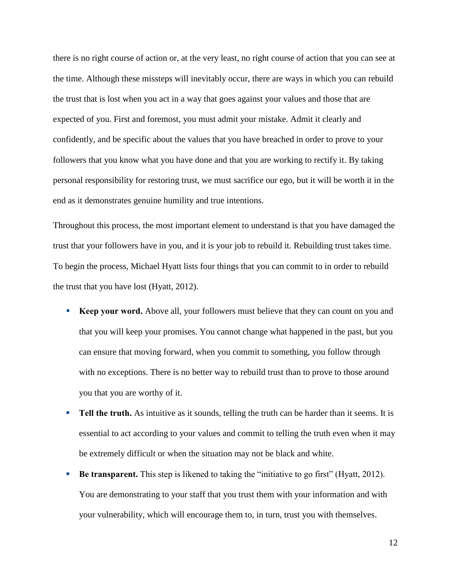there is no right course of action or, at the very least, no right course of action that you can see at the time. Although these missteps will inevitably occur, there are ways in which you can rebuild the trust that is lost when you act in a way that goes against your values and those that are expected of you. First and foremost, you must admit your mistake. Admit it clearly and confidently, and be specific about the values that you have breached in order to prove to your followers that you know what you have done and that you are working to rectify it. By taking personal responsibility for restoring trust, we must sacrifice our ego, but it will be worth it in the end as it demonstrates genuine humility and true intentions.

Throughout this process, the most important element to understand is that you have damaged the trust that your followers have in you, and it is your job to rebuild it. Rebuilding trust takes time. To begin the process, Michael Hyatt lists four things that you can commit to in order to rebuild the trust that you have lost (Hyatt, 2012).

- **Keep your word.** Above all, your followers must believe that they can count on you and that you will keep your promises. You cannot change what happened in the past, but you can ensure that moving forward, when you commit to something, you follow through with no exceptions. There is no better way to rebuild trust than to prove to those around you that you are worthy of it.
- **Tell the truth.** As intuitive as it sounds, telling the truth can be harder than it seems. It is essential to act according to your values and commit to telling the truth even when it may be extremely difficult or when the situation may not be black and white.
- **Be transparent.** This step is likened to taking the "initiative to go first" (Hyatt, 2012). You are demonstrating to your staff that you trust them with your information and with your vulnerability, which will encourage them to, in turn, trust you with themselves.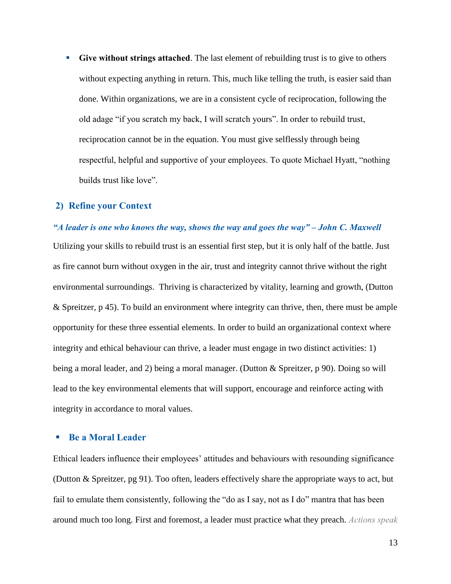**Give without strings attached**. The last element of rebuilding trust is to give to others without expecting anything in return. This, much like telling the truth, is easier said than done. Within organizations, we are in a consistent cycle of reciprocation, following the old adage "if you scratch my back, I will scratch yours". In order to rebuild trust, reciprocation cannot be in the equation. You must give selflessly through being respectful, helpful and supportive of your employees. To quote Michael Hyatt, "nothing builds trust like love".

#### **2) Refine your Context**

#### *"A leader is one who knows the way, shows the way and goes the way" – John C. Maxwell*

Utilizing your skills to rebuild trust is an essential first step, but it is only half of the battle. Just as fire cannot burn without oxygen in the air, trust and integrity cannot thrive without the right environmental surroundings. Thriving is characterized by vitality, learning and growth, (Dutton & Spreitzer, p 45). To build an environment where integrity can thrive, then, there must be ample opportunity for these three essential elements. In order to build an organizational context where integrity and ethical behaviour can thrive, a leader must engage in two distinct activities: 1) being a moral leader, and 2) being a moral manager. (Dutton & Spreitzer, p 90). Doing so will lead to the key environmental elements that will support, encourage and reinforce acting with integrity in accordance to moral values.

#### **Be a Moral Leader**

Ethical leaders influence their employees' attitudes and behaviours with resounding significance (Dutton & Spreitzer, pg 91). Too often, leaders effectively share the appropriate ways to act, but fail to emulate them consistently, following the "do as I say, not as I do" mantra that has been around much too long. First and foremost, a leader must practice what they preach. *Actions speak*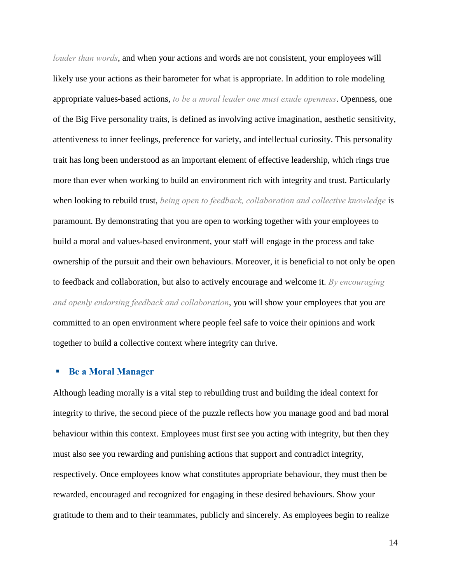*louder than words*, and when your actions and words are not consistent, your employees will likely use your actions as their barometer for what is appropriate. In addition to role modeling appropriate values-based actions, *to be a moral leader one must exude openness*. Openness, one of the Big Five personality traits, is defined as involving active imagination, aesthetic sensitivity, attentiveness to inner feelings, preference for variety, and intellectual curiosity. This personality trait has long been understood as an important element of effective leadership, which rings true more than ever when working to build an environment rich with integrity and trust. Particularly when looking to rebuild trust, *being open to feedback, collaboration and collective knowledge* is paramount. By demonstrating that you are open to working together with your employees to build a moral and values-based environment, your staff will engage in the process and take ownership of the pursuit and their own behaviours. Moreover, it is beneficial to not only be open to feedback and collaboration, but also to actively encourage and welcome it. *By encouraging and openly endorsing feedback and collaboration*, you will show your employees that you are committed to an open environment where people feel safe to voice their opinions and work together to build a collective context where integrity can thrive.

#### **Be a Moral Manager**

Although leading morally is a vital step to rebuilding trust and building the ideal context for integrity to thrive, the second piece of the puzzle reflects how you manage good and bad moral behaviour within this context. Employees must first see you acting with integrity, but then they must also see you rewarding and punishing actions that support and contradict integrity, respectively. Once employees know what constitutes appropriate behaviour, they must then be rewarded, encouraged and recognized for engaging in these desired behaviours. Show your gratitude to them and to their teammates, publicly and sincerely. As employees begin to realize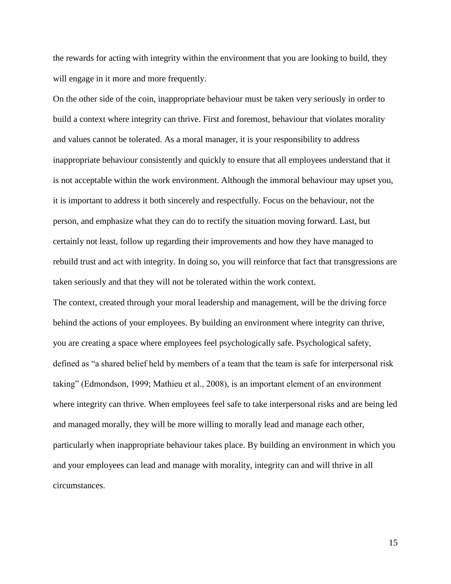the rewards for acting with integrity within the environment that you are looking to build, they will engage in it more and more frequently.

On the other side of the coin, inappropriate behaviour must be taken very seriously in order to build a context where integrity can thrive. First and foremost, behaviour that violates morality and values cannot be tolerated. As a moral manager, it is your responsibility to address inappropriate behaviour consistently and quickly to ensure that all employees understand that it is not acceptable within the work environment. Although the immoral behaviour may upset you, it is important to address it both sincerely and respectfully. Focus on the behaviour, not the person, and emphasize what they can do to rectify the situation moving forward. Last, but certainly not least, follow up regarding their improvements and how they have managed to rebuild trust and act with integrity. In doing so, you will reinforce that fact that transgressions are taken seriously and that they will not be tolerated within the work context.

The context, created through your moral leadership and management, will be the driving force behind the actions of your employees. By building an environment where integrity can thrive, you are creating a space where employees feel psychologically safe. Psychological safety, defined as "a shared belief held by members of a team that the team is safe for interpersonal risk taking" (Edmondson, 1999; Mathieu et al., 2008), is an important element of an environment where integrity can thrive. When employees feel safe to take interpersonal risks and are being led and managed morally, they will be more willing to morally lead and manage each other, particularly when inappropriate behaviour takes place. By building an environment in which you and your employees can lead and manage with morality, integrity can and will thrive in all circumstances.

15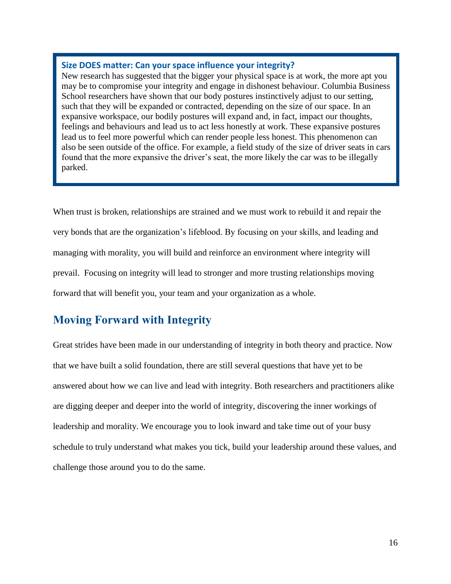#### **Size DOES matter: Can your space influence your integrity?**

New research has suggested that the bigger your physical space is at work, the more apt you may be to compromise your integrity and engage in dishonest behaviour. Columbia Business School researchers have shown that our body postures instinctively adjust to our setting, such that they will be expanded or contracted, depending on the size of our space. In an expansive workspace, our bodily postures will expand and, in fact, impact our thoughts, feelings and behaviours and lead us to act less honestly at work. These expansive postures lead us to feel more powerful which can render people less honest. This phenomenon can also be seen outside of the office. For example, a field study of the size of driver seats in cars found that the more expansive the driver's seat, the more likely the car was to be illegally parked.

When trust is broken, relationships are strained and we must work to rebuild it and repair the very bonds that are the organization's lifeblood. By focusing on your skills, and leading and managing with morality, you will build and reinforce an environment where integrity will prevail. Focusing on integrity will lead to stronger and more trusting relationships moving forward that will benefit you, your team and your organization as a whole.

# **Moving Forward with Integrity**

Great strides have been made in our understanding of integrity in both theory and practice. Now that we have built a solid foundation, there are still several questions that have yet to be answered about how we can live and lead with integrity. Both researchers and practitioners alike are digging deeper and deeper into the world of integrity, discovering the inner workings of leadership and morality. We encourage you to look inward and take time out of your busy schedule to truly understand what makes you tick, build your leadership around these values, and challenge those around you to do the same.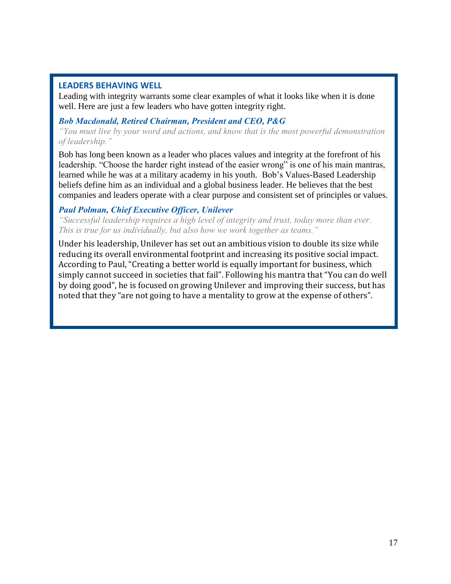#### **LEADERS BEHAVING WELL**

Leading with integrity warrants some clear examples of what it looks like when it is done well. Here are just a few leaders who have gotten integrity right.

#### *Bob Macdonald, Retired Chairman, President and CEO, P&G*

*"You must live by your word and actions, and know that is the most powerful demonstration of leadership."*

Bob has long been known as a leader who places values and integrity at the forefront of his leadership. "Choose the harder right instead of the easier wrong" is one of his main mantras, learned while he was at a military academy in his youth. Bob's Values-Based Leadership beliefs define him as an individual and a global business leader. He believes that the best companies and leaders operate with a clear purpose and consistent set of principles or values.

#### *Paul Polman, Chief Executive Officer, Unilever*

*"Successful leadership requires a high level of integrity and trust, today more than ever. This is true for us individually, but also how we work together as teams."*

Under his leadership, Unilever has set out an ambitious vision to double its size while reducing its overall environmental footprint and increasing its positive social impact. According to Paul, "Creating a better world is equally important for business, which simply cannot succeed in societies that fail". Following his mantra that "You can do well by doing good", he is focused on growing Unilever and improving their success, but has noted that they "are not going to have a mentality to grow at the expense of others".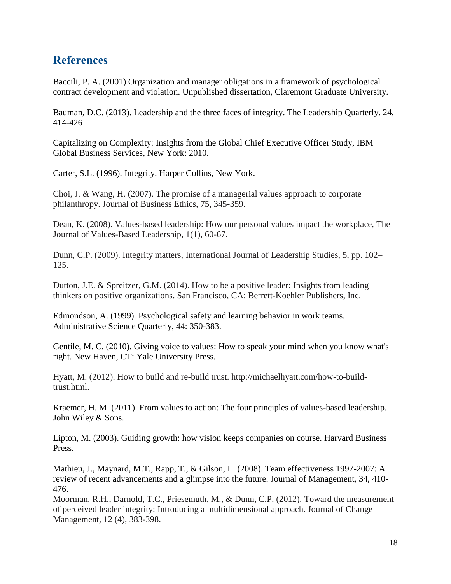# **References**

Baccili, P. A. (2001) Organization and manager obligations in a framework of psychological contract development and violation. Unpublished dissertation, Claremont Graduate University.

Bauman, D.C. (2013). Leadership and the three faces of integrity. The Leadership Quarterly. 24, 414-426

Capitalizing on Complexity: Insights from the Global Chief Executive Officer Study, IBM Global Business Services, New York: 2010.

Carter, S.L. (1996). Integrity. Harper Collins, New York.

Choi, J. & Wang, H. (2007). The promise of a managerial values approach to corporate philanthropy. Journal of Business Ethics, 75, 345-359.

Dean, K. (2008). Values-based leadership: How our personal values impact the workplace, The Journal of Values-Based Leadership, 1(1), 60-67.

Dunn, C.P. (2009). Integrity matters, International Journal of Leadership Studies, 5, pp. 102– 125.

Dutton, J.E. & Spreitzer, G.M. (2014). How to be a positive leader: Insights from leading thinkers on positive organizations. San Francisco, CA: Berrett-Koehler Publishers, Inc.

Edmondson, A. (1999). Psychological safety and learning behavior in work teams. Administrative Science Quarterly, 44: 350-383.

Gentile, M. C. (2010). Giving voice to values: How to speak your mind when you know what's right. New Haven, CT: Yale University Press.

Hyatt, M. (2012). How to build and re-build trust. http://michaelhyatt.com/how-to-buildtrust.html.

Kraemer, H. M. (2011). From values to action: The four principles of values-based leadership. John Wiley & Sons.

Lipton, M. (2003). Guiding growth: how vision keeps companies on course. Harvard Business Press.

Mathieu, J., Maynard, M.T., Rapp, T., & Gilson, L. (2008). Team effectiveness 1997-2007: A review of recent advancements and a glimpse into the future. Journal of Management, 34, 410- 476.

Moorman, R.H., Darnold, T.C., Priesemuth, M., & Dunn, C.P. (2012). Toward the measurement of perceived leader integrity: Introducing a multidimensional approach. Journal of Change Management, 12 (4), 383-398.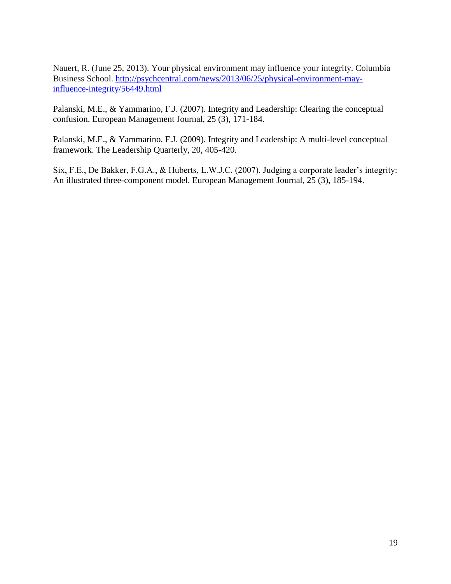Nauert, R. (June 25, 2013). Your physical environment may influence your integrity. Columbia Business School. [http://psychcentral.com/news/2013/06/25/physical-environment-may](http://psychcentral.com/news/2013/06/25/physical-environment-may-influence-integrity/56449.html)[influence-integrity/56449.html](http://psychcentral.com/news/2013/06/25/physical-environment-may-influence-integrity/56449.html)

Palanski, M.E., & Yammarino, F.J. (2007). Integrity and Leadership: Clearing the conceptual confusion. European Management Journal, 25 (3), 171-184.

Palanski, M.E., & Yammarino, F.J. (2009). Integrity and Leadership: A multi-level conceptual framework. The Leadership Quarterly, 20, 405-420.

Six, F.E., De Bakker, F.G.A., & Huberts, L.W.J.C. (2007). Judging a corporate leader's integrity: An illustrated three-component model. European Management Journal, 25 (3), 185-194.